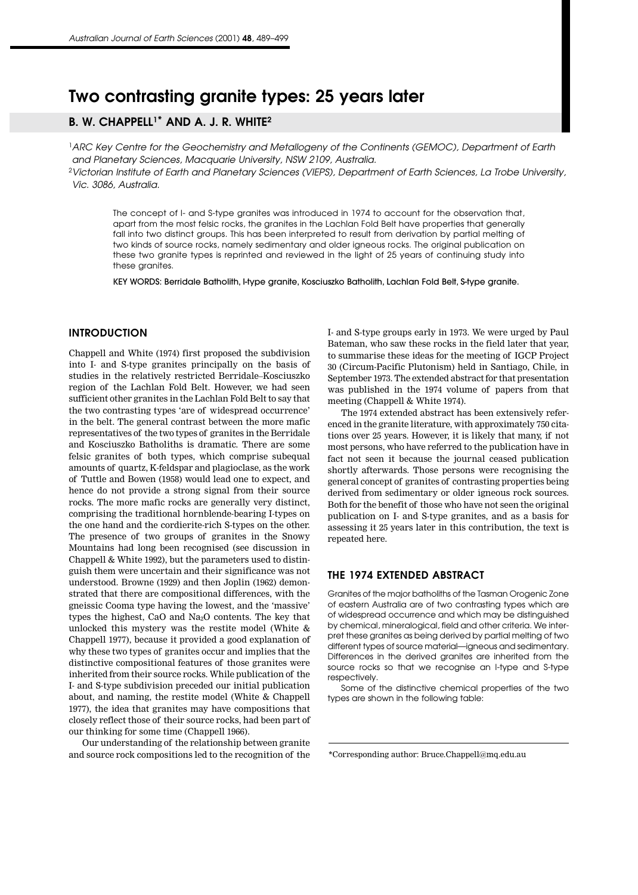# **Two contrasting granite types: 25 years later**

# **B. W. CHAPPELL1\* AND A. J. R. WHITE2**

<sup>1</sup>*ARC Key Centre for the Geochemistry and Metallogeny of the Continents (GEMOC), Department of Earth and Planetary Sciences, Macquarie University, NSW 2109, Australia.*

<sup>2</sup>*Victorian Institute of Earth and Planetary Sciences (VIEPS), Department of Earth Sciences, La Trobe University, Vic. 3086, Australia.*

The concept of I- and S-type granites was introduced in 1974 to account for the observation that, apart from the most felsic rocks, the granites in the Lachlan Fold Belt have properties that generally fall into two distinct groups. This has been interpreted to result from derivation by partial melting of two kinds of source rocks, namely sedimentary and older igneous rocks. The original publication on these two granite types is reprinted and reviewed in the light of 25 years of continuing study into these granites.

KEY WORDS: Berridale Batholith, I-type granite, Kosciuszko Batholith, Lachlan Fold Belt, S-type granite.

# **INTRODUCTION**

Chappell and White (1974) first proposed the subdivision into I- and S-type granites principally on the basis of studies in the relatively restricted Berridale–Kosciuszko region of the Lachlan Fold Belt. However, we had seen sufficient other granites in the Lachlan Fold Belt to say that the two contrasting types 'are of widespread occurrence' in the belt. The general contrast between the more mafic representatives of the two types of granites in the Berridale and Kosciuszko Batholiths is dramatic. There are some felsic granites of both types, which comprise subequal amounts of quartz, K-feldspar and plagioclase, as the work of Tuttle and Bowen (1958) would lead one to expect, and hence do not provide a strong signal from their source rocks. The more mafic rocks are generally very distinct, comprising the traditional hornblende-bearing I-types on the one hand and the cordierite-rich S-types on the other. The presence of two groups of granites in the Snowy Mountains had long been recognised (see discussion in Chappell & White 1992), but the parameters used to distinguish them were uncertain and their significance was not understood. Browne (1929) and then Joplin (1962) demonstrated that there are compositional differences, with the gneissic Cooma type having the lowest, and the 'massive' types the highest, CaO and Na<sub>2</sub>O contents. The key that unlocked this mystery was the restite model (White & Chappell 1977), because it provided a good explanation of why these two types of granites occur and implies that the distinctive compositional features of those granites were inherited from their source rocks. While publication of the I- and S-type subdivision preceded our initial publication about, and naming, the restite model (White & Chappell 1977), the idea that granites may have compositions that closely reflect those of their source rocks, had been part of our thinking for some time (Chappell 1966).

Our understanding of the relationship between granite and source rock compositions led to the recognition of the I- and S-type groups early in 1973. We were urged by Paul Bateman, who saw these rocks in the field later that year, to summarise these ideas for the meeting of IGCP Project 30 (Circum-Pacific Plutonism) held in Santiago, Chile, in September 1973. The extended abstract for that presentation was published in the 1974 volume of papers from that meeting (Chappell & White 1974).

The 1974 extended abstract has been extensively referenced in the granite literature, with approximately 750 citations over 25 years. However, it is likely that many, if not most persons, who have referred to the publication have in fact not seen it because the journal ceased publication shortly afterwards. Those persons were recognising the general concept of granites of contrasting properties being derived from sedimentary or older igneous rock sources. Both for the benefit of those who have not seen the original publication on I- and S-type granites, and as a basis for assessing it 25 years later in this contribution, the text is repeated here.

# **THE 1974 EXTENDED ABSTRACT**

Granites of the major batholiths of the Tasman Orogenic Zone of eastern Australia are of two contrasting types which are of widespread occurrence and which may be distinguished by chemical, mineralogical, field and other criteria. We interpret these granites as being derived by partial melting of two different types of source material—igneous and sedimentary. Differences in the derived granites are inherited from the source rocks so that we recognise an I-type and S-type respectively.

Some of the distinctive chemical properties of the two types are shown in the following table:

\*Corresponding author: Bruce.Chappell@mq.edu.au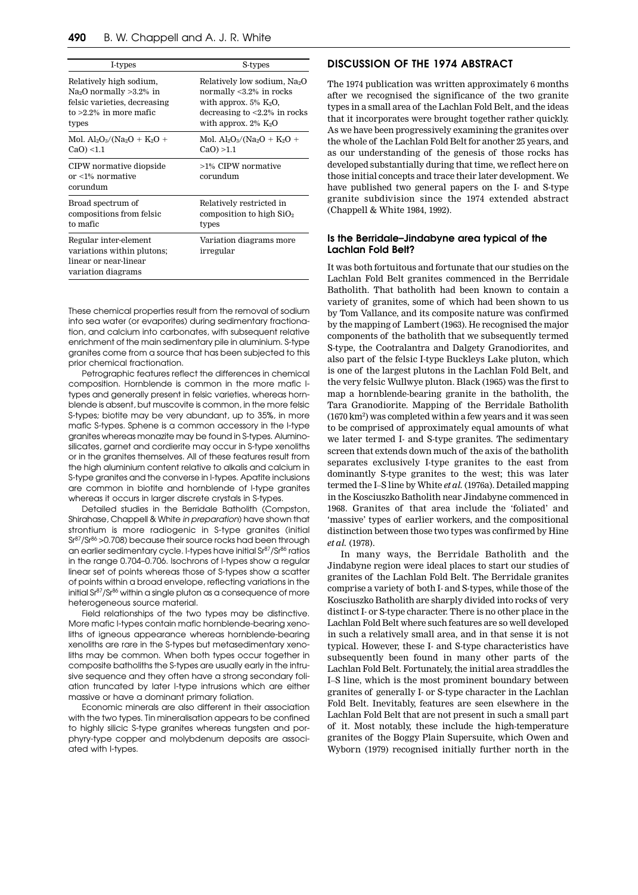| I-types                                                                                            | S-types                              |
|----------------------------------------------------------------------------------------------------|--------------------------------------|
| Relatively high sodium,                                                                            | Relatively low sodium, $Na2O$        |
| $Na2O$ normally >3.2% in                                                                           | normally $<3.2\%$ in rocks           |
| felsic varieties, decreasing                                                                       | with approx. $5\%$ K <sub>2</sub> O. |
| to >2.2% in more mafic                                                                             | decreasing to $<2.2\%$ in rocks      |
| types                                                                                              | with approx. $2\%$ K <sub>2</sub> O  |
| Mol. $Al_2O_3/(Na_2O + K_2O +$                                                                     | Mol. $Al_2O_3/(Na_2O + K_2O +$       |
| $CaO$ ) <1.1                                                                                       | $CaO$ ) >1.1                         |
| CIPW normative diopside<br>or <1% normative<br>corundum                                            | >1% CIPW normative<br>corundum       |
| Broad spectrum of                                                                                  | Relatively restricted in             |
| compositions from felsic                                                                           | composition to high $SiO2$           |
| to mafic                                                                                           | types                                |
| Regular inter-element<br>variations within plutons;<br>linear or near-linear<br>variation diagrams | Variation diagrams more<br>irregular |

These chemical properties result from the removal of sodium into sea water (or evaporites) during sedimentary fractionation, and calcium into carbonates, with subsequent relative enrichment of the main sedimentary pile in aluminium. S-type granites come from a source that has been subjected to this prior chemical fractionation.

Petrographic features reflect the differences in chemical composition. Hornblende is common in the more mafic Itypes and generally present in felsic varieties, whereas hornblende is absent, but muscovite is common, in the more felsic S-types; biotite may be very abundant, up to 35%, in more mafic S-types. Sphene is a common accessory in the I-type granites whereas monazite may be found in S-types. Aluminosilicates, garnet and cordierite may occur in S-type xenoliths or in the granites themselves. All of these features result from the high aluminium content relative to alkalis and calcium in S-type granites and the converse in I-types. Apatite inclusions are common in biotite and hornblende of I-type granites whereas it occurs in larger discrete crystals in S-types.

Detailed studies in the Berridale Batholith (Compston, Shirahase, Chappell & White *in preparation*) have shown that strontium is more radiogenic in S-type granites (initial Sr<sup>87</sup>/Sr<sup>86</sup> > 0.708) because their source rocks had been through an earlier sedimentary cycle. I-types have initial Sr<sup>87</sup>/Sr<sup>86</sup> ratios in the range 0.704–0.706. Isochrons of I-types show a regular linear set of points whereas those of S-types show a scatter of points within a broad envelope, reflecting variations in the initial Sr<sup>87</sup>/Sr<sup>86</sup> within a single pluton as a consequence of more heterogeneous source material.

Field relationships of the two types may be distinctive. More mafic I-types contain mafic hornblende-bearing xenoliths of igneous appearance whereas hornblende-bearing xenoliths are rare in the S-types but metasedimentary xenoliths may be common. When both types occur together in composite batholiths the S-types are usually early in the intrusive sequence and they often have a strong secondary foliation truncated by later I-type intrusions which are either massive or have a dominant primary foliation.

Economic minerals are also different in their association with the two types. Tin mineralisation appears to be confined to highly silicic S-type granites whereas tungsten and porphyry-type copper and molybdenum deposits are associated with I-types.

# **DISCUSSION OF THE 1974 ABSTRACT**

The 1974 publication was written approximately 6 months after we recognised the significance of the two granite types in a small area of the Lachlan Fold Belt, and the ideas that it incorporates were brought together rather quickly. As we have been progressively examining the granites over the whole of the Lachlan Fold Belt for another 25 years, and as our understanding of the genesis of those rocks has developed substantially during that time, we reflect here on those initial concepts and trace their later development. We have published two general papers on the I- and S-type granite subdivision since the 1974 extended abstract (Chappell & White 1984, 1992).

# **Is the Berridale–Jindabyne area typical of the Lachlan Fold Belt?**

It was both fortuitous and fortunate that our studies on the Lachlan Fold Belt granites commenced in the Berridale Batholith. That batholith had been known to contain a variety of granites, some of which had been shown to us by Tom Vallance, and its composite nature was confirmed by the mapping of Lambert (1963). He recognised the major components of the batholith that we subsequently termed S-type, the Cootralantra and Dalgety Granodiorites, and also part of the felsic I-type Buckleys Lake pluton, which is one of the largest plutons in the Lachlan Fold Belt, and the very felsic Wullwye pluton. Black (1965) was the first to map a hornblende-bearing granite in the batholith, the Tara Granodiorite. Mapping of the Berridale Batholith (1670 km2 ) was completed within a few years and it was seen to be comprised of approximately equal amounts of what we later termed I- and S-type granites. The sedimentary screen that extends down much of the axis of the batholith separates exclusively I-type granites to the east from dominantly S-type granites to the west; this was later termed the I–S line by White *et al.* (1976a). Detailed mapping in the Kosciuszko Batholith near Jindabyne commenced in 1968. Granites of that area include the 'foliated' and 'massive' types of earlier workers, and the compositional distinction between those two types was confirmed by Hine *et al.* (1978).

In many ways, the Berridale Batholith and the Jindabyne region were ideal places to start our studies of granites of the Lachlan Fold Belt. The Berridale granites comprise a variety of both I- and S-types, while those of the Kosciuszko Batholith are sharply divided into rocks of very distinct I- or S-type character. There is no other place in the Lachlan Fold Belt where such features are so well developed in such a relatively small area, and in that sense it is not typical. However, these I- and S-type characteristics have subsequently been found in many other parts of the Lachlan Fold Belt. Fortunately, the initial area straddles the I–S line, which is the most prominent boundary between granites of generally I- or S-type character in the Lachlan Fold Belt. Inevitably, features are seen elsewhere in the Lachlan Fold Belt that are not present in such a small part of it. Most notably, these include the high-temperature granites of the Boggy Plain Supersuite, which Owen and Wyborn (1979) recognised initially further north in the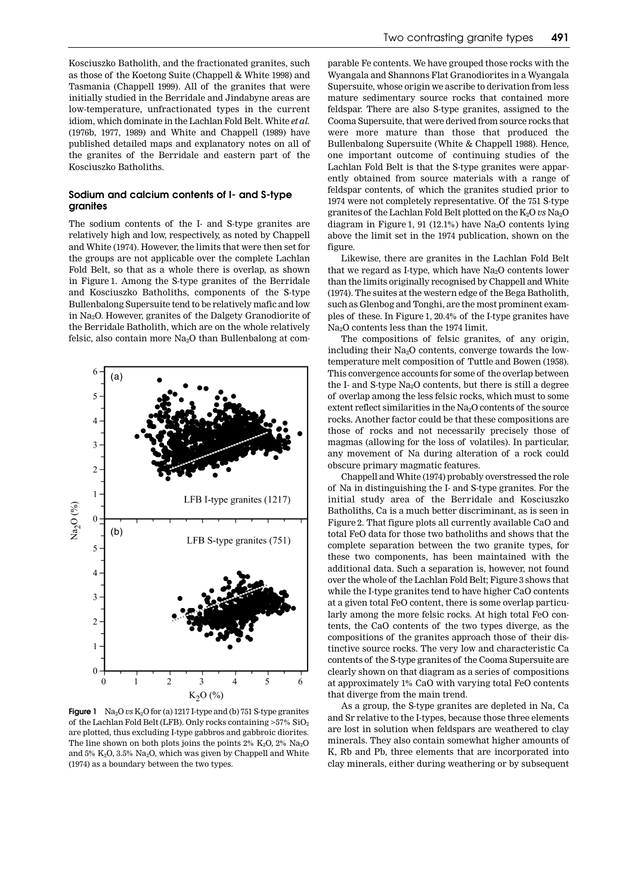Kosciuszko Batholith, and the fractionated granites, such as those of the Koetong Suite (Chappell & White 1998) and Tasmania (Chappell 1999). All of the granites that were initially studied in the Berridale and Jindabyne areas are low-temperature, unfractionated types in the current idiom, which dominate in the Lachlan Fold Belt. White *et al.* (1976b, 1977, 1989) and White and Chappell (1989) have published detailed maps and explanatory notes on all of the granites of the Berridale and eastern part of the Kosciuszko Batholiths.

# **Sodium and calcium contents of I- and S-type granites**

The sodium contents of the I- and S-type granites are relatively high and low, respectively, as noted by Chappell and White (1974). However, the limits that were then set for the groups are not applicable over the complete Lachlan Fold Belt, so that as a whole there is overlap, as shown in Figure 1. Among the S-type granites of the Berridale and Kosciuszko Batholiths, components of the S-type Bullenbalong Supersuite tend to be relatively mafic and low in Na2O. However, granites of the Dalgety Granodiorite of the Berridale Batholith, which are on the whole relatively felsic, also contain more  $Na<sub>2</sub>O$  than Bullenbalong at com-



**Figure 1** Na<sub>2</sub>O *vs*  $K_2O$  for (a) 1217 I-type and (b) 751 S-type granites of the Lachlan Fold Belt (LFB). Only rocks containing  $>57\%$  SiO<sub>2</sub> are plotted, thus excluding I-type gabbros and gabbroic diorites. The line shown on both plots joins the points  $2\%$  K<sub>2</sub>O,  $2\%$  Na<sub>2</sub>O and 5%  $K_2O$ , 3.5% Na<sub>2</sub>O, which was given by Chappell and White (1974) as a boundary between the two types.

parable Fe contents. We have grouped those rocks with the Wyangala and Shannons Flat Granodiorites in a Wyangala Supersuite, whose origin we ascribe to derivation from less mature sedimentary source rocks that contained more feldspar. There are also S-type granites, assigned to the Cooma Supersuite, that were derived from source rocks that were more mature than those that produced the Bullenbalong Supersuite (White & Chappell 1988). Hence, one important outcome of continuing studies of the Lachlan Fold Belt is that the S-type granites were apparently obtained from source materials with a range of feldspar contents, of which the granites studied prior to 1974 were not completely representative. Of the 751 S-type granites of the Lachlan Fold Belt plotted on the K2O *vs* Na2O diagram in Figure 1, 91 (12.1%) have Na<sub>2</sub>O contents lying above the limit set in the 1974 publication, shown on the figure.

Likewise, there are granites in the Lachlan Fold Belt that we regard as I-type, which have  $Na<sub>2</sub>O$  contents lower than the limits originally recognised by Chappell and White (1974). The suites at the western edge of the Bega Batholith, such as Glenbog and Tonghi, are the most prominent examples of these. In Figure 1, 20.4% of the I-type granites have Na2O contents less than the 1974 limit.

The compositions of felsic granites, of any origin, including their Na2O contents, converge towards the lowtemperature melt composition of Tuttle and Bowen (1958). This convergence accounts for some of the overlap between the I- and S-type Na2O contents, but there is still a degree of overlap among the less felsic rocks, which must to some extent reflect similarities in the Na<sub>2</sub>O contents of the source rocks. Another factor could be that these compositions are those of rocks and not necessarily precisely those of magmas (allowing for the loss of volatiles). In particular, any movement of Na during alteration of a rock could obscure primary magmatic features.

Chappell and White (1974) probably overstressed the role of Na in distinguishing the I- and S-type granites. For the initial study area of the Berridale and Kosciuszko Batholiths, Ca is a much better discriminant, as is seen in Figure 2. That figure plots all currently available CaO and total FeO data for those two batholiths and shows that the complete separation between the two granite types, for these two components, has been maintained with the additional data. Such a separation is, however, not found over the whole of the Lachlan Fold Belt; Figure 3 shows that while the I-type granites tend to have higher CaO contents at a given total FeO content, there is some overlap particularly among the more felsic rocks. At high total FeO contents, the CaO contents of the two types diverge, as the compositions of the granites approach those of their distinctive source rocks. The very low and characteristic Ca contents of the S-type granites of the Cooma Supersuite are clearly shown on that diagram as a series of compositions at approximately 1% CaO with varying total FeO contents that diverge from the main trend.

As a group, the S-type granites are depleted in Na, Ca and Sr relative to the I-types, because those three elements are lost in solution when feldspars are weathered to clay minerals. They also contain somewhat higher amounts of K, Rb and Pb, three elements that are incorporated into clay minerals, either during weathering or by subsequent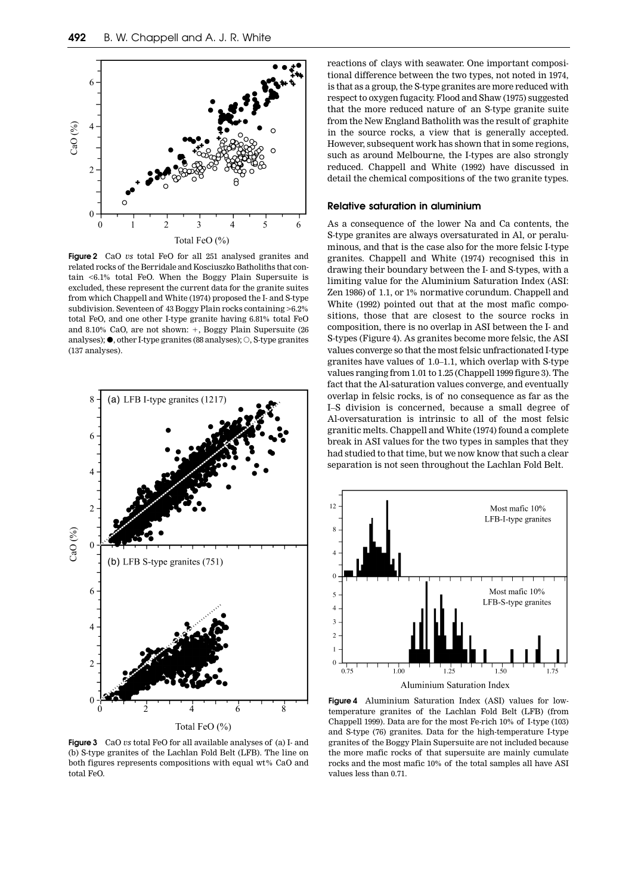

**Figure 2** CaO *vs* total FeO for all 251 analysed granites and related rocks of the Berridale and Kosciuszko Batholiths that contain <6.1% total FeO. When the Boggy Plain Supersuite is excluded, these represent the current data for the granite suites from which Chappell and White (1974) proposed the I- and S-type subdivision. Seventeen of 43 Boggy Plain rocks containing >6.2% total FeO, and one other I-type granite having 6.81% total FeO and 8.10% CaO, are not shown: +, Boggy Plain Supersuite (26 analyses);  $\bullet$ , other I-type granites (88 analyses);  $\circ$  , S-type granites (137 analyses).



**Figure 3** CaO *vs* total FeO for all available analyses of (a) I- and (b) S-type granites of the Lachlan Fold Belt (LFB). The line on both figures represents compositions with equal wt% CaO and total FeO.

reactions of clays with seawater. One important compositional difference between the two types, not noted in 1974, is that as a group, the S-type granites are more reduced with respect to oxygen fugacity. Flood and Shaw (1975) suggested that the more reduced nature of an S-type granite suite from the New England Batholith was the result of graphite in the source rocks, a view that is generally accepted. However, subsequent work has shown that in some regions, such as around Melbourne, the I-types are also strongly reduced. Chappell and White (1992) have discussed in detail the chemical compositions of the two granite types.

#### **Relative saturation in aluminium**

As a consequence of the lower Na and Ca contents, the S-type granites are always oversaturated in Al, or peraluminous, and that is the case also for the more felsic I-type granites. Chappell and White (1974) recognised this in drawing their boundary between the I- and S-types, with a limiting value for the Aluminium Saturation Index (ASI: Zen 1986) of 1.1, or 1% normative corundum. Chappell and White (1992) pointed out that at the most mafic compositions, those that are closest to the source rocks in composition, there is no overlap in ASI between the I- and S-types (Figure 4). As granites become more felsic, the ASI values converge so that the most felsic unfractionated I-type granites have values of 1.0–1.1, which overlap with S-type values ranging from 1.01 to 1.25 (Chappell 1999 figure 3). The fact that the Al-saturation values converge, and eventually overlap in felsic rocks, is of no consequence as far as the I–S division is concerned, because a small degree of Al-oversaturation is intrinsic to all of the most felsic granitic melts. Chappell and White (1974) found a complete break in ASI values for the two types in samples that they had studied to that time, but we now know that such a clear separation is not seen throughout the Lachlan Fold Belt.



**Figure 4** Aluminium Saturation Index (ASI) values for lowtemperature granites of the Lachlan Fold Belt (LFB) (from Chappell 1999). Data are for the most Fe-rich 10% of I-type (103) and S-type (76) granites. Data for the high-temperature I-type granites of the Boggy Plain Supersuite are not included because the more mafic rocks of that supersuite are mainly cumulate rocks and the most mafic 10% of the total samples all have ASI values less than 0.71.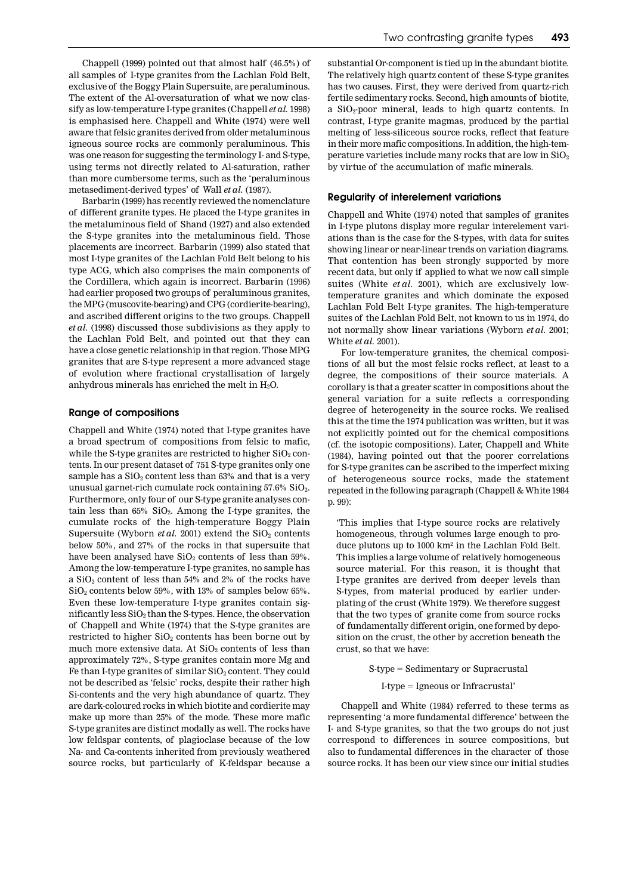Chappell (1999) pointed out that almost half (46.5%) of all samples of I-type granites from the Lachlan Fold Belt, exclusive of the Boggy Plain Supersuite, are peraluminous. The extent of the Al-oversaturation of what we now classify as low-temperature I-type granites (Chappell *et al.* 1998) is emphasised here. Chappell and White (1974) were well aware that felsic granites derived from older metaluminous igneous source rocks are commonly peraluminous. This was one reason for suggesting the terminology I- and S-type, using terms not directly related to Al-saturation, rather than more cumbersome terms, such as the 'peraluminous metasediment-derived types' of Wall *et al.* (1987).

Barbarin (1999) has recently reviewed the nomenclature of different granite types. He placed the I-type granites in the metaluminous field of Shand (1927) and also extended the S-type granites into the metaluminous field. Those placements are incorrect. Barbarin (1999) also stated that most I-type granites of the Lachlan Fold Belt belong to his type ACG, which also comprises the main components of the Cordillera, which again is incorrect. Barbarin (1996) had earlier proposed two groups of peraluminous granites, the MPG (muscovite-bearing) and CPG (cordierite-bearing), and ascribed different origins to the two groups. Chappell *et al.* (1998) discussed those subdivisions as they apply to the Lachlan Fold Belt, and pointed out that they can have a close genetic relationship in that region. Those MPG granites that are S-type represent a more advanced stage of evolution where fractional crystallisation of largely anhydrous minerals has enriched the melt in  $H_2O$ .

# **Range of compositions**

Chappell and White (1974) noted that I-type granites have a broad spectrum of compositions from felsic to mafic, while the S-type granites are restricted to higher  $SiO<sub>2</sub>$  contents. In our present dataset of 751 S-type granites only one sample has a  $SiO<sub>2</sub>$  content less than 63% and that is a very unusual garnet-rich cumulate rock containing  $57.6\%$  SiO<sub>2</sub>. Furthermore, only four of our S-type granite analyses contain less than  $65\%$  SiO<sub>2</sub>. Among the I-type granites, the cumulate rocks of the high-temperature Boggy Plain Supersuite (Wyborn *et al.* 2001) extend the SiO<sub>2</sub> contents below 50%, and 27% of the rocks in that supersuite that have been analysed have  $SiO<sub>2</sub>$  contents of less than 59%. Among the low-temperature I-type granites, no sample has a  $SiO<sub>2</sub>$  content of less than 54% and 2% of the rocks have SiO2 contents below 59%, with 13% of samples below 65%. Even these low-temperature I-type granites contain significantly less  $SiO<sub>2</sub>$  than the S-types. Hence, the observation of Chappell and White (1974) that the S-type granites are restricted to higher  $SiO<sub>2</sub>$  contents has been borne out by much more extensive data. At  $SiO<sub>2</sub>$  contents of less than approximately 72%, S-type granites contain more Mg and Fe than I-type granites of similar  $SiO<sub>2</sub>$  content. They could not be described as 'felsic' rocks, despite their rather high Si-contents and the very high abundance of quartz. They are dark-coloured rocks in which biotite and cordierite may make up more than 25% of the mode. These more mafic S-type granites are distinct modally as well. The rocks have low feldspar contents, of plagioclase because of the low Na- and Ca-contents inherited from previously weathered source rocks, but particularly of K-feldspar because a

substantial Or-component is tied up in the abundant biotite. The relatively high quartz content of these S-type granites has two causes. First, they were derived from quartz-rich fertile sedimentary rocks. Second, high amounts of biotite, a  $SiO<sub>2</sub>$ -poor mineral, leads to high quartz contents. In contrast, I-type granite magmas, produced by the partial melting of less-siliceous source rocks, reflect that feature in their more mafic compositions. In addition, the high-temperature varieties include many rocks that are low in  $SiO<sub>2</sub>$ by virtue of the accumulation of mafic minerals.

# **Regularity of interelement variations**

Chappell and White (1974) noted that samples of granites in I-type plutons display more regular interelement variations than is the case for the S-types, with data for suites showing linear or near-linear trends on variation diagrams. That contention has been strongly supported by more recent data, but only if applied to what we now call simple suites (White *et al.* 2001), which are exclusively lowtemperature granites and which dominate the exposed Lachlan Fold Belt I-type granites. The high-temperature suites of the Lachlan Fold Belt, not known to us in 1974, do not normally show linear variations (Wyborn *et al.* 2001; White *et al.* 2001).

For low-temperature granites, the chemical compositions of all but the most felsic rocks reflect, at least to a degree, the compositions of their source materials. A corollary is that a greater scatter in compositions about the general variation for a suite reflects a corresponding degree of heterogeneity in the source rocks. We realised this at the time the 1974 publication was written, but it was not explicitly pointed out for the chemical compositions (cf. the isotopic compositions). Later, Chappell and White (1984), having pointed out that the poorer correlations for S-type granites can be ascribed to the imperfect mixing of heterogeneous source rocks, made the statement repeated in the following paragraph (Chappell & White 1984 p. 99):

'This implies that I-type source rocks are relatively homogeneous, through volumes large enough to produce plutons up to 1000 km2 in the Lachlan Fold Belt. This implies a large volume of relatively homogeneous source material. For this reason, it is thought that I-type granites are derived from deeper levels than S-types, from material produced by earlier underplating of the crust (White 1979). We therefore suggest that the two types of granite come from source rocks of fundamentally different origin, one formed by deposition on the crust, the other by accretion beneath the crust, so that we have:

### S-type = Sedimentary or Supracrustal

#### $I-type = Igneous or Infrared'$

Chappell and White (1984) referred to these terms as representing 'a more fundamental difference' between the I- and S-type granites, so that the two groups do not just correspond to differences in source compositions, but also to fundamental differences in the character of those source rocks. It has been our view since our initial studies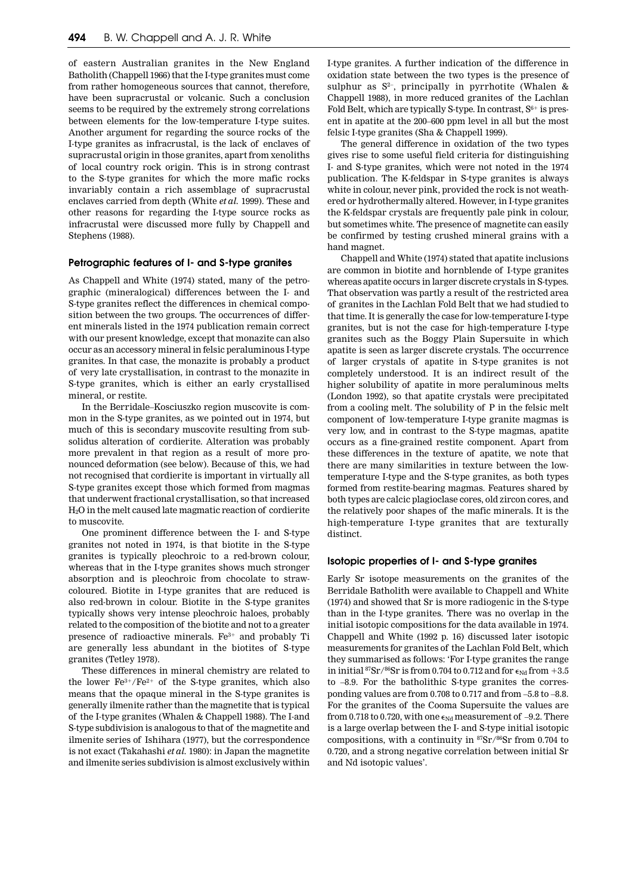of eastern Australian granites in the New England Batholith (Chappell 1966) that the I-type granites must come from rather homogeneous sources that cannot, therefore, have been supracrustal or volcanic. Such a conclusion seems to be required by the extremely strong correlations between elements for the low-temperature I-type suites. Another argument for regarding the source rocks of the I-type granites as infracrustal, is the lack of enclaves of supracrustal origin in those granites, apart from xenoliths of local country rock origin. This is in strong contrast to the S-type granites for which the more mafic rocks invariably contain a rich assemblage of supracrustal enclaves carried from depth (White *et al.* 1999). These and other reasons for regarding the I-type source rocks as infracrustal were discussed more fully by Chappell and Stephens (1988).

# **Petrographic features of I- and S-type granites**

As Chappell and White (1974) stated, many of the petrographic (mineralogical) differences between the I- and S-type granites reflect the differences in chemical composition between the two groups. The occurrences of different minerals listed in the 1974 publication remain correct with our present knowledge, except that monazite can also occur as an accessory mineral in felsic peraluminous I-type granites. In that case, the monazite is probably a product of very late crystallisation, in contrast to the monazite in S-type granites, which is either an early crystallised mineral, or restite.

In the Berridale–Kosciuszko region muscovite is common in the S-type granites, as we pointed out in 1974, but much of this is secondary muscovite resulting from subsolidus alteration of cordierite. Alteration was probably more prevalent in that region as a result of more pronounced deformation (see below). Because of this, we had not recognised that cordierite is important in virtually all S-type granites except those which formed from magmas that underwent fractional crystallisation, so that increased H2O in the melt caused late magmatic reaction of cordierite to muscovite.

One prominent difference between the I- and S-type granites not noted in 1974, is that biotite in the S-type granites is typically pleochroic to a red-brown colour, whereas that in the I-type granites shows much stronger absorption and is pleochroic from chocolate to strawcoloured. Biotite in I-type granites that are reduced is also red-brown in colour. Biotite in the S-type granites typically shows very intense pleochroic haloes, probably related to the composition of the biotite and not to a greater presence of radioactive minerals. Fe<sup>3+</sup> and probably Ti are generally less abundant in the biotites of S-type granites (Tetley 1978).

These differences in mineral chemistry are related to the lower  $Fe^{3+}/Fe^{2+}$  of the S-type granites, which also means that the opaque mineral in the S-type granites is generally ilmenite rather than the magnetite that is typical of the I-type granites (Whalen & Chappell 1988). The I-and S-type subdivision is analogous to that of the magnetite and ilmenite series of Ishihara (1977), but the correspondence is not exact (Takahashi *et al.* 1980): in Japan the magnetite and ilmenite series subdivision is almost exclusively within

I-type granites. A further indication of the difference in oxidation state between the two types is the presence of sulphur as  $S^2$ , principally in pyrrhotite (Whalen & Chappell 1988), in more reduced granites of the Lachlan Fold Belt, which are typically S-type. In contrast,  $S^{6+}$  is present in apatite at the 200–600 ppm level in all but the most felsic I-type granites (Sha & Chappell 1999).

The general difference in oxidation of the two types gives rise to some useful field criteria for distinguishing I- and S-type granites, which were not noted in the 1974 publication. The K-feldspar in S-type granites is always white in colour, never pink, provided the rock is not weathered or hydrothermally altered. However, in I-type granites the K-feldspar crystals are frequently pale pink in colour, but sometimes white. The presence of magnetite can easily be confirmed by testing crushed mineral grains with a hand magnet.

Chappell and White (1974) stated that apatite inclusions are common in biotite and hornblende of I-type granites whereas apatite occurs in larger discrete crystals in S-types. That observation was partly a result of the restricted area of granites in the Lachlan Fold Belt that we had studied to that time. It is generally the case for low-temperature I-type granites, but is not the case for high-temperature I-type granites such as the Boggy Plain Supersuite in which apatite is seen as larger discrete crystals. The occurrence of larger crystals of apatite in S-type granites is not completely understood. It is an indirect result of the higher solubility of apatite in more peraluminous melts (London 1992), so that apatite crystals were precipitated from a cooling melt. The solubility of P in the felsic melt component of low-temperature I-type granite magmas is very low, and in contrast to the S-type magmas, apatite occurs as a fine-grained restite component. Apart from these differences in the texture of apatite, we note that there are many similarities in texture between the lowtemperature I-type and the S-type granites, as both types formed from restite-bearing magmas. Features shared by both types are calcic plagioclase cores, old zircon cores, and the relatively poor shapes of the mafic minerals. It is the high-temperature I-type granites that are texturally distinct.

# **Isotopic properties of I- and S-type granites**

Early Sr isotope measurements on the granites of the Berridale Batholith were available to Chappell and White (1974) and showed that Sr is more radiogenic in the S-type than in the I-type granites. There was no overlap in the initial isotopic compositions for the data available in 1974. Chappell and White (1992 p. 16) discussed later isotopic measurements for granites of the Lachlan Fold Belt, which they summarised as follows: 'For I-type granites the range in initial  $\mathrm{^{87}Sr/^{86}Sr}$  is from 0.704 to 0.712 and for  $\epsilon_\mathrm{Nd}$  from  $+3.5$ to –8.9. For the batholithic S-type granites the corresponding values are from 0.708 to 0.717 and from –5.8 to –8.8. For the granites of the Cooma Supersuite the values are from 0.718 to 0.720, with one  $\epsilon_{Nd}$  measurement of -9.2. There is a large overlap between the I- and S-type initial isotopic compositions, with a continuity in  $87Sr/86Sr$  from 0.704 to 0.720, and a strong negative correlation between initial Sr and Nd isotopic values'.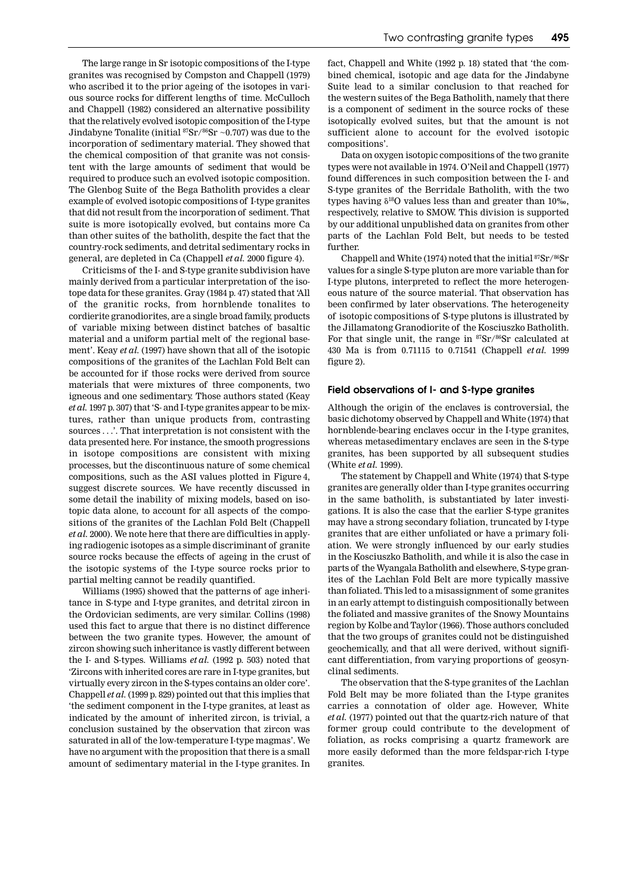The large range in Sr isotopic compositions of the I-type granites was recognised by Compston and Chappell (1979) who ascribed it to the prior ageing of the isotopes in various source rocks for different lengths of time. McCulloch and Chappell (1982) considered an alternative possibility that the relatively evolved isotopic composition of the I-type Jindabyne Tonalite (initial  ${}^{87}\mathrm{Sr} / {}^{86}\mathrm{Sr} \sim 0.707$ ) was due to the incorporation of sedimentary material. They showed that the chemical composition of that granite was not consistent with the large amounts of sediment that would be required to produce such an evolved isotopic composition. The Glenbog Suite of the Bega Batholith provides a clear example of evolved isotopic compositions of I-type granites that did not result from the incorporation of sediment. That suite is more isotopically evolved, but contains more Ca than other suites of the batholith, despite the fact that the country-rock sediments, and detrital sedimentary rocks in general, are depleted in Ca (Chappell *et al.* 2000 figure 4).

Criticisms of the I- and S-type granite subdivision have mainly derived from a particular interpretation of the isotope data for these granites. Gray (1984 p. 47) stated that 'All of the granitic rocks, from hornblende tonalites to cordierite granodiorites, are a single broad family, products of variable mixing between distinct batches of basaltic material and a uniform partial melt of the regional basement'. Keay *et al.* (1997) have shown that all of the isotopic compositions of the granites of the Lachlan Fold Belt can be accounted for if those rocks were derived from source materials that were mixtures of three components, two igneous and one sedimentary. Those authors stated (Keay *et al.* 1997 p. 307) that 'S- and I-type granites appear to be mixtures, rather than unique products from, contrasting sources . . .'. That interpretation is not consistent with the data presented here. For instance, the smooth progressions in isotope compositions are consistent with mixing processes, but the discontinuous nature of some chemical compositions, such as the ASI values plotted in Figure 4, suggest discrete sources. We have recently discussed in some detail the inability of mixing models, based on isotopic data alone, to account for all aspects of the compositions of the granites of the Lachlan Fold Belt (Chappell *et al.* 2000). We note here that there are difficulties in applying radiogenic isotopes as a simple discriminant of granite source rocks because the effects of ageing in the crust of the isotopic systems of the I-type source rocks prior to partial melting cannot be readily quantified.

Williams (1995) showed that the patterns of age inheritance in S-type and I-type granites, and detrital zircon in the Ordovician sediments, are very similar. Collins (1998) used this fact to argue that there is no distinct difference between the two granite types. However, the amount of zircon showing such inheritance is vastly different between the I- and S-types. Williams *et al.* (1992 p. 503) noted that 'Zircons with inherited cores are rare in I-type granites, but virtually every zircon in the S-types contains an older core'. Chappell *et al.* (1999 p. 829) pointed out that this implies that 'the sediment component in the I-type granites, at least as indicated by the amount of inherited zircon, is trivial, a conclusion sustained by the observation that zircon was saturated in all of the low-temperature I-type magmas'. We have no argument with the proposition that there is a small amount of sedimentary material in the I-type granites. In

fact, Chappell and White (1992 p. 18) stated that 'the combined chemical, isotopic and age data for the Jindabyne Suite lead to a similar conclusion to that reached for the western suites of the Bega Batholith, namely that there is a component of sediment in the source rocks of these isotopically evolved suites, but that the amount is not sufficient alone to account for the evolved isotopic compositions'.

Data on oxygen isotopic compositions of the two granite types were not available in 1974. O'Neil and Chappell (1977) found differences in such composition between the I- and S-type granites of the Berridale Batholith, with the two types having  $\delta^{18}O$  values less than and greater than 10‰, respectively, relative to SMOW. This division is supported by our additional unpublished data on granites from other parts of the Lachlan Fold Belt, but needs to be tested further.

Chappell and White (1974) noted that the initial  $87Sr/86Sr$ values for a single S-type pluton are more variable than for I-type plutons, interpreted to reflect the more heterogeneous nature of the source material. That observation has been confirmed by later observations. The heterogeneity of isotopic compositions of S-type plutons is illustrated by the Jillamatong Granodiorite of the Kosciuszko Batholith. For that single unit, the range in  $87Sr/86Sr$  calculated at 430 Ma is from 0.71115 to 0.71541 (Chappell *et al.* 1999 figure 2).

## **Field observations of I- and S-type granites**

Although the origin of the enclaves is controversial, the basic dichotomy observed by Chappell and White (1974) that hornblende-bearing enclaves occur in the I-type granites, whereas metasedimentary enclaves are seen in the S-type granites, has been supported by all subsequent studies (White *et al.* 1999).

The statement by Chappell and White (1974) that S-type granites are generally older than I-type granites occurring in the same batholith, is substantiated by later investigations. It is also the case that the earlier S-type granites may have a strong secondary foliation, truncated by I-type granites that are either unfoliated or have a primary foliation. We were strongly influenced by our early studies in the Kosciuszko Batholith, and while it is also the case in parts of the Wyangala Batholith and elsewhere, S-type granites of the Lachlan Fold Belt are more typically massive than foliated. This led to a misassignment of some granites in an early attempt to distinguish compositionally between the foliated and massive granites of the Snowy Mountains region by Kolbe and Taylor (1966). Those authors concluded that the two groups of granites could not be distinguished geochemically, and that all were derived, without significant differentiation, from varying proportions of geosynclinal sediments.

The observation that the S-type granites of the Lachlan Fold Belt may be more foliated than the I-type granites carries a connotation of older age. However, White *et al.* (1977) pointed out that the quartz-rich nature of that former group could contribute to the development of foliation, as rocks comprising a quartz framework are more easily deformed than the more feldspar-rich I-type granites.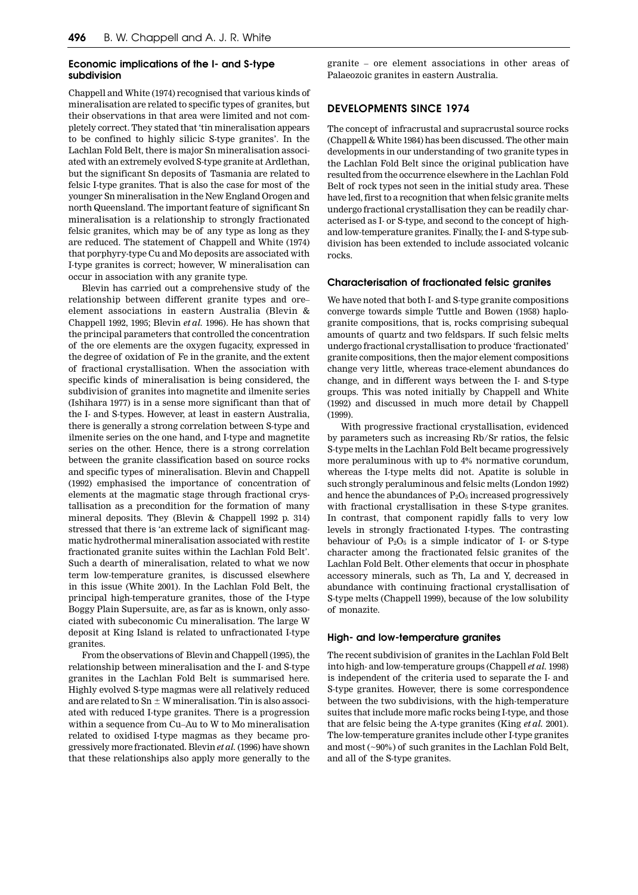# **Economic implications of the I- and S-type subdivision**

Chappell and White (1974) recognised that various kinds of mineralisation are related to specific types of granites, but their observations in that area were limited and not completely correct. They stated that 'tin mineralisation appears to be confined to highly silicic S-type granites'. In the Lachlan Fold Belt, there is major Sn mineralisation associated with an extremely evolved S-type granite at Ardlethan, but the significant Sn deposits of Tasmania are related to felsic I-type granites. That is also the case for most of the younger Sn mineralisation in the New England Orogen and north Queensland. The important feature of significant Sn mineralisation is a relationship to strongly fractionated felsic granites, which may be of any type as long as they are reduced. The statement of Chappell and White (1974) that porphyry-type Cu and Mo deposits are associated with I-type granites is correct; however, W mineralisation can occur in association with any granite type.

Blevin has carried out a comprehensive study of the relationship between different granite types and ore– element associations in eastern Australia (Blevin & Chappell 1992, 1995; Blevin *et al.* 1996). He has shown that the principal parameters that controlled the concentration of the ore elements are the oxygen fugacity, expressed in the degree of oxidation of Fe in the granite, and the extent of fractional crystallisation. When the association with specific kinds of mineralisation is being considered, the subdivision of granites into magnetite and ilmenite series (Ishihara 1977) is in a sense more significant than that of the I- and S-types. However, at least in eastern Australia, there is generally a strong correlation between S-type and ilmenite series on the one hand, and I-type and magnetite series on the other. Hence, there is a strong correlation between the granite classification based on source rocks and specific types of mineralisation. Blevin and Chappell (1992) emphasised the importance of concentration of elements at the magmatic stage through fractional crystallisation as a precondition for the formation of many mineral deposits. They (Blevin & Chappell 1992 p. 314) stressed that there is 'an extreme lack of significant magmatic hydrothermal mineralisation associated with restite fractionated granite suites within the Lachlan Fold Belt'. Such a dearth of mineralisation, related to what we now term low-temperature granites, is discussed elsewhere in this issue (White 2001). In the Lachlan Fold Belt, the principal high-temperature granites, those of the I-type Boggy Plain Supersuite, are, as far as is known, only associated with subeconomic Cu mineralisation. The large W deposit at King Island is related to unfractionated I-type granites.

From the observations of Blevin and Chappell (1995), the relationship between mineralisation and the I- and S-type granites in the Lachlan Fold Belt is summarised here. Highly evolved S-type magmas were all relatively reduced and are related to  $Sn \pm W$  mineralisation. Tin is also associated with reduced I-type granites. There is a progression within a sequence from Cu–Au to W to Mo mineralisation related to oxidised I-type magmas as they became progressively more fractionated. Blevin *et al.* (1996) have shown that these relationships also apply more generally to the

granite – ore element associations in other areas of Palaeozoic granites in eastern Australia.

# **DEVELOPMENTS SINCE 1974**

The concept of infracrustal and supracrustal source rocks (Chappell & White 1984) has been discussed. The other main developments in our understanding of two granite types in the Lachlan Fold Belt since the original publication have resulted from the occurrence elsewhere in the Lachlan Fold Belt of rock types not seen in the initial study area. These have led, first to a recognition that when felsic granite melts undergo fractional crystallisation they can be readily characterised as I- or S-type, and second to the concept of highand low-temperature granites. Finally, the I- and S-type subdivision has been extended to include associated volcanic rocks.

## **Characterisation of fractionated felsic granites**

We have noted that both I- and S-type granite compositions converge towards simple Tuttle and Bowen (1958) haplogranite compositions, that is, rocks comprising subequal amounts of quartz and two feldspars. If such felsic melts undergo fractional crystallisation to produce 'fractionated' granite compositions, then the major element compositions change very little, whereas trace-element abundances do change, and in different ways between the I- and S-type groups. This was noted initially by Chappell and White (1992) and discussed in much more detail by Chappell (1999).

With progressive fractional crystallisation, evidenced by parameters such as increasing Rb/Sr ratios, the felsic S-type melts in the Lachlan Fold Belt became progressively more peraluminous with up to 4% normative corundum, whereas the I-type melts did not. Apatite is soluble in such strongly peraluminous and felsic melts (London 1992) and hence the abundances of  $P_2O_5$  increased progressively with fractional crystallisation in these S-type granites. In contrast, that component rapidly falls to very low levels in strongly fractionated I-types. The contrasting behaviour of  $P_2O_5$  is a simple indicator of I- or S-type character among the fractionated felsic granites of the Lachlan Fold Belt. Other elements that occur in phosphate accessory minerals, such as Th, La and Y, decreased in abundance with continuing fractional crystallisation of S-type melts (Chappell 1999), because of the low solubility of monazite.

#### **High- and low-temperature granites**

The recent subdivision of granites in the Lachlan Fold Belt into high- and low-temperature groups (Chappell *et al.* 1998) is independent of the criteria used to separate the I- and S-type granites. However, there is some correspondence between the two subdivisions, with the high-temperature suites that include more mafic rocks being I-type, and those that are felsic being the A-type granites (King *et al.* 2001). The low-temperature granites include other I-type granites and most (~90%) of such granites in the Lachlan Fold Belt, and all of the S-type granites.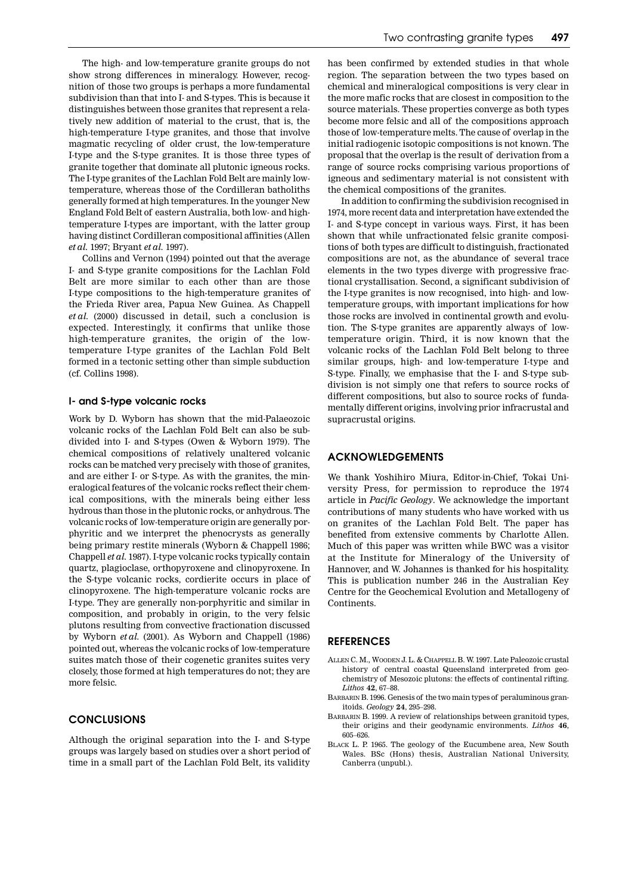The high- and low-temperature granite groups do not show strong differences in mineralogy. However, recognition of those two groups is perhaps a more fundamental subdivision than that into I- and S-types. This is because it distinguishes between those granites that represent a relatively new addition of material to the crust, that is, the high-temperature I-type granites, and those that involve magmatic recycling of older crust, the low-temperature I-type and the S-type granites. It is those three types of granite together that dominate all plutonic igneous rocks. The I-type granites of the Lachlan Fold Belt are mainly lowtemperature, whereas those of the Cordilleran batholiths generally formed at high temperatures. In the younger New England Fold Belt of eastern Australia, both low- and hightemperature I-types are important, with the latter group having distinct Cordilleran compositional affinities (Allen *et al.* 1997; Bryant *et al.* 1997).

Collins and Vernon (1994) pointed out that the average I- and S-type granite compositions for the Lachlan Fold Belt are more similar to each other than are those I-type compositions to the high-temperature granites of the Frieda River area, Papua New Guinea. As Chappell *et al.* (2000) discussed in detail, such a conclusion is expected. Interestingly, it confirms that unlike those high-temperature granites, the origin of the lowtemperature I-type granites of the Lachlan Fold Belt formed in a tectonic setting other than simple subduction (cf. Collins 1998).

#### **I- and S-type volcanic rocks**

Work by D. Wyborn has shown that the mid-Palaeozoic volcanic rocks of the Lachlan Fold Belt can also be subdivided into I- and S-types (Owen & Wyborn 1979). The chemical compositions of relatively unaltered volcanic rocks can be matched very precisely with those of granites, and are either I- or S-type. As with the granites, the mineralogical features of the volcanic rocks reflect their chemical compositions, with the minerals being either less hydrous than those in the plutonic rocks, or anhydrous. The volcanic rocks of low-temperature origin are generally porphyritic and we interpret the phenocrysts as generally being primary restite minerals (Wyborn & Chappell 1986; Chappell *et al.* 1987). I-type volcanic rocks typically contain quartz, plagioclase, orthopyroxene and clinopyroxene. In the S-type volcanic rocks, cordierite occurs in place of clinopyroxene. The high-temperature volcanic rocks are I-type. They are generally non-porphyritic and similar in composition, and probably in origin, to the very felsic plutons resulting from convective fractionation discussed by Wyborn *et al.* (2001). As Wyborn and Chappell (1986) pointed out, whereas the volcanic rocks of low-temperature suites match those of their cogenetic granites suites very closely, those formed at high temperatures do not; they are more felsic.

# **CONCLUSIONS**

Although the original separation into the I- and S-type groups was largely based on studies over a short period of time in a small part of the Lachlan Fold Belt, its validity

has been confirmed by extended studies in that whole region. The separation between the two types based on chemical and mineralogical compositions is very clear in the more mafic rocks that are closest in composition to the source materials. These properties converge as both types become more felsic and all of the compositions approach those of low-temperature melts. The cause of overlap in the initial radiogenic isotopic compositions is not known. The proposal that the overlap is the result of derivation from a range of source rocks comprising various proportions of igneous and sedimentary material is not consistent with the chemical compositions of the granites.

In addition to confirming the subdivision recognised in 1974, more recent data and interpretation have extended the I- and S-type concept in various ways. First, it has been shown that while unfractionated felsic granite compositions of both types are difficult to distinguish, fractionated compositions are not, as the abundance of several trace elements in the two types diverge with progressive fractional crystallisation. Second, a significant subdivision of the I-type granites is now recognised, into high- and lowtemperature groups, with important implications for how those rocks are involved in continental growth and evolution. The S-type granites are apparently always of lowtemperature origin. Third, it is now known that the volcanic rocks of the Lachlan Fold Belt belong to three similar groups, high- and low-temperature I-type and S-type. Finally, we emphasise that the I- and S-type subdivision is not simply one that refers to source rocks of different compositions, but also to source rocks of fundamentally different origins, involving prior infracrustal and supracrustal origins.

# **ACKNOWLEDGEMENTS**

We thank Yoshihiro Miura, Editor-in-Chief, Tokai University Press, for permission to reproduce the 1974 article in *Pacific Geology*. We acknowledge the important contributions of many students who have worked with us on granites of the Lachlan Fold Belt. The paper has benefited from extensive comments by Charlotte Allen. Much of this paper was written while BWC was a visitor at the Institute for Mineralogy of the University of Hannover, and W. Johannes is thanked for his hospitality. This is publication number 246 in the Australian Key Centre for the Geochemical Evolution and Metallogeny of Continents.

## **REFERENCES**

- ALLEN C. M., WOODEN J. L. & CHAPPELL B. W. 1997. Late Paleozoic crustal history of central coastal Queensland interpreted from geochemistry of Mesozoic plutons: the effects of continental rifting. *Lithos* **42**, 67–88.
- BARBARIN B. 1996. Genesis of the two main types of peraluminous granitoids. *Geology* **24**, 295–298.
- BARBARIN B. 1999. A review of relationships between granitoid types, their origins and their geodynamic environments. *Lithos* **46**, 605–626.
- BLACK L. P. 1965. The geology of the Eucumbene area, New South Wales. BSc (Hons) thesis, Australian National University, Canberra (unpubl.).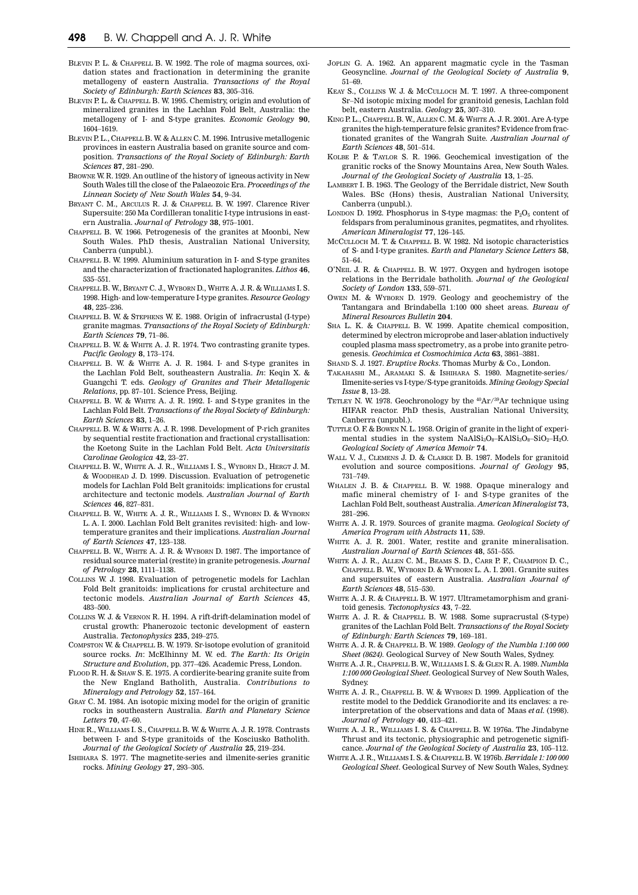- BLEVIN P. L. & CHAPPELL B. W. 1992. The role of magma sources, oxidation states and fractionation in determining the granite metallogeny of eastern Australia. *Transactions of the Royal Society of Edinburgh: Earth Sciences* **83**, 305–316.
- BLEVIN P. L. & CHAPPELL B. W. 1995. Chemistry, origin and evolution of mineralized granites in the Lachlan Fold Belt, Australia: the metallogeny of I- and S-type granites. *Economic Geology* **90**, 1604–1619.
- BLEVIN P. L., CHAPPELL B. W. & ALLEN C. M. 1996. Intrusive metallogenic provinces in eastern Australia based on granite source and composition. *Transactions of the Royal Society of Edinburgh: Earth Sciences* **87**, 281–290.
- BROWNE W. R. 1929. An outline of the history of igneous activity in New South Wales till the close of the Palaeozoic Era. *Proceedings of the Linnean Society of New South Wales* **54**, 9–34.
- BRYANT C. M., ARCULUS R. J. & CHAPPELL B. W. 1997. Clarence River Supersuite: 250 Ma Cordilleran tonalitic I-type intrusions in eastern Australia. *Journal of Petrology* **38**, 975–1001.
- CHAPPELL B. W. 1966. Petrogenesis of the granites at Moonbi, New South Wales. PhD thesis, Australian National University, Canberra (unpubl.).
- CHAPPELL B. W. 1999. Aluminium saturation in I- and S-type granites and the characterization of fractionated haplogranites. *Lithos* **46**, 535–551.
- CHAPPELL B. W., BRYANT C. J., WYBORN D., WHITE A. J. R. & WILLIAMS I. S. 1998. High- and low-temperature I-type granites. *Resource Geology* **48**, 225–236.
- CHAPPELL B. W. & STEPHENS W. E. 1988. Origin of infracrustal (I-type) granite magmas. *Transactions of the Royal Society of Edinburgh: Earth Sciences* **79**, 71–86.
- CHAPPELL B. W. & WHITE A. J. R. 1974. Two contrasting granite types. *Pacific Geology* **8**, 173–174.
- CHAPPELL B. W. & WHITE A. J. R. 1984. I- and S-type granites in the Lachlan Fold Belt, southeastern Australia. *In*: Keqin X. & Guangchi T. eds. *Geology of Granites and Their Metallogenic Relations*, pp. 87–101. Science Press, Beijing.
- CHAPPELL B. W. & WHITE A. J. R. 1992. I- and S-type granites in the Lachlan Fold Belt. *Transactions of the Royal Society of Edinburgh: Earth Sciences* **83**, 1–26.
- CHAPPELL B. W. & WHITE A. J. R. 1998. Development of P-rich granites by sequential restite fractionation and fractional crystallisation: the Koetong Suite in the Lachlan Fold Belt. *Acta Universitatis Carolinae Geologica* **42**, 23–27.
- CHAPPELL B. W., WHITE A. J. R., WILLIAMS I. S., WYBORN D., HERGT J. M. & WOODHEAD J. D. 1999. Discussion. Evaluation of petrogenetic models for Lachlan Fold Belt granitoids: implications for crustal architecture and tectonic models. *Australian Journal of Earth Sciences* **46**, 827–831.
- CHAPPELL B. W., WHITE A. J. R., WILLIAMS I. S., WYBORN D. & WYBORN L. A. I. 2000. Lachlan Fold Belt granites revisited: high- and lowtemperature granites and their implications. *Australian Journal of Earth Sciences* **47**, 123–138.
- CHAPPELL B. W., WHITE A. J. R. & WYBORN D. 1987. The importance of residual source material (restite) in granite petrogenesis. *Journal of Petrology* **28**, 1111–1138.
- COLLINS W. J. 1998. Evaluation of petrogenetic models for Lachlan Fold Belt granitoids: implications for crustal architecture and tectonic models. *Australian Journal of Earth Sciences* **45**, 483–500.
- COLLINS W. J. & VERNON R. H. 1994. A rift-drift-delamination model of crustal growth: Phanerozoic tectonic development of eastern Australia. *Tectonophysics* **235**, 249–275.
- COMPSTON W. & CHAPPELL B. W. 1979. Sr-isotope evolution of granitoid source rocks. *In*: McElhinny M. W. ed. *The Earth: Its Origin Structure and Evolution*, pp. 377–426. Academic Press, London.
- FLOOD R. H. & SHAW S. E. 1975. A cordierite-bearing granite suite from the New England Batholith, Australia. *Contributions to Mineralogy and Petrology* **52**, 157–164.
- GRAY C. M. 1984. An isotopic mixing model for the origin of granitic rocks in southeastern Australia. *Earth and Planetary Science Letters* **70**, 47–60.
- HINE R., WILLIAMS I. S., CHAPPELL B. W. & WHITE A. J. R. 1978. Contrasts between I- and S-type granitoids of the Kosciusko Batholith. *Journal of the Geological Society of Australia* **25**, 219–234.
- ISHIHARA S. 1977. The magnetite-series and ilmenite-series granitic rocks. *Mining Geology* **27**, 293–305.
- JOPLIN G. A. 1962. An apparent magmatic cycle in the Tasman Geosyncline. *Journal of the Geological Society of Australia* **9**, 51–69.
- KEAY S., COLLINS W. J. & MCCULLOCH M. T. 1997. A three-component Sr–Nd isotopic mixing model for granitoid genesis, Lachlan fold belt, eastern Australia. *Geology* **25**, 307–310.
- KING P. L., CHAPPELL B. W., ALLEN C. M. & WHITE A. J. R. 2001. Are A-type granites the high-temperature felsic granites? Evidence from fractionated granites of the Wangrah Suite. *Australian Journal of Earth Sciences* **48**, 501–514.
- KOLBE P. & TAYLOR S. R. 1966. Geochemical investigation of the granitic rocks of the Snowy Mountains Area, New South Wales. *Journal of the Geological Society of Australia* **13**, 1–25.
- LAMBERT I. B. 1963. The Geology of the Berridale district, New South Wales. BSc (Hons) thesis, Australian National University, Canberra (unpubl.).
- LONDON D. 1992. Phosphorus in S-type magmas: the  $P_2O_5$  content of feldspars from peraluminous granites, pegmatites, and rhyolites. *American Mineralogist* **77**, 126–145.
- MCCULLOCH M. T. & CHAPPELL B. W. 1982. Nd isotopic characteristics of S- and I-type granites. *Earth and Planetary Science Letters* **58**, 51–64.
- O'NEIL J. R. & CHAPPELL B. W. 1977. Oxygen and hydrogen isotope relations in the Berridale batholith. *Journal of the Geological Society of London* **133**, 559–571.
- OWEN M. & WYBORN D. 1979. Geology and geochemistry of the Tantangara and Brindabella 1:100 000 sheet areas. *Bureau of Mineral Resources Bulletin* **204**.
- SHA L. K. & CHAPPELL B. W. 1999. Apatite chemical composition, determined by electron microprobe and laser-ablation inductively coupled plasma mass spectrometry, as a probe into granite petrogenesis. *Geochimica et Cosmochimica Acta* **63**, 3861–3881.
- SHAND S. J. 1927. *Eruptive Rocks*. Thomas Murby & Co., London.
- TAKAHASHI M., ARAMAKI S. & ISHIHARA S. 1980. Magnetite-series/ Ilmenite-series vs I-type/S-type granitoids. *Mining Geology Special Issue* **8**, 13–28.
- TETLEY N. W. 1978. Geochronology by the  $^{40}\text{Ar}/^{39}\text{Ar}$  technique using HIFAR reactor. PhD thesis, Australian National University, Canberra (unpubl.).
- TUTTLE O. F. & BOWEN N. L. 1958. Origin of granite in the light of experimental studies in the system  $NaAlSi<sub>3</sub>O<sub>8</sub>–KAlSi<sub>3</sub>O<sub>8</sub>–SiO<sub>2</sub>–H<sub>2</sub>O.$ *Geological Society of America Memoir* **74**.
- WALL V. J., CLEMENS J. D. & CLARKE D. B. 1987. Models for granitoid evolution and source compositions. *Journal of Geology* **95**, 731–749.
- WHALEN J. B. & CHAPPELL B. W. 1988. Opaque mineralogy and mafic mineral chemistry of I- and S-type granites of the Lachlan Fold Belt, southeast Australia. *American Mineralogist* **73**, 281–296.
- WHITE A. J. R. 1979. Sources of granite magma. *Geological Society of America Program with Abstracts* **11**, 539.
- WHITE A. J. R. 2001. Water, restite and granite mineralisation. *Australian Journal of Earth Sciences* **48**, 551–555.
- WHITE A. J. R., ALLEN C. M., BEAMS S. D., CARR P. F., CHAMPION D. C., CHAPPELL B. W., WYBORN D. & WYBORN L. A. I. 2001. Granite suites and supersuites of eastern Australia. *Australian Journal of Earth Sciences* **48**, 515–530.
- WHITE A. J. R. & CHAPPELL B. W. 1977. Ultrametamorphism and granitoid genesis. *Tectonophysics* **43**, 7–22.
- WHITE A. J. R. & CHAPPELL B. W. 1988. Some supracrustal (S-type) granites of the Lachlan Fold Belt. *Transactions of the Royal Society of Edinburgh: Earth Sciences* **79**, 169–181.
- WHITE A. J. R. & CHAPPELL B. W. 1989. *Geology of the Numbla 1:100 000 Sheet (8624).* Geological Survey of New South Wales, Sydney.
- WHITE A. J. R., CHAPPELL B. W., WILLIAMS I. S. & GLEN R. A. 1989. *Numbla 1:100 000 Geological Sheet*. Geological Survey of New South Wales, Sydney.
- WHITE A. J. R., CHAPPELL B. W. & WYBORN D. 1999. Application of the restite model to the Deddick Granodiorite and its enclaves: a reinterpretation of the observations and data of Maas *et al.* (1998). *Journal of Petrology* **40**, 413–421.
- WHITE A. J. R., WILLIAMS I. S. & CHAPPELL B. W. 1976a. The Jindabyne Thrust and its tectonic, physiographic and petrogenetic significance. *Journal of the Geological Society of Australia* **23**, 105–112.
- WHITE A. J. R., WILLIAMS I. S. & CHAPPELL B. W. 1976b. *Berridale 1: 100 000 Geological Sheet*. Geological Survey of New South Wales, Sydney.